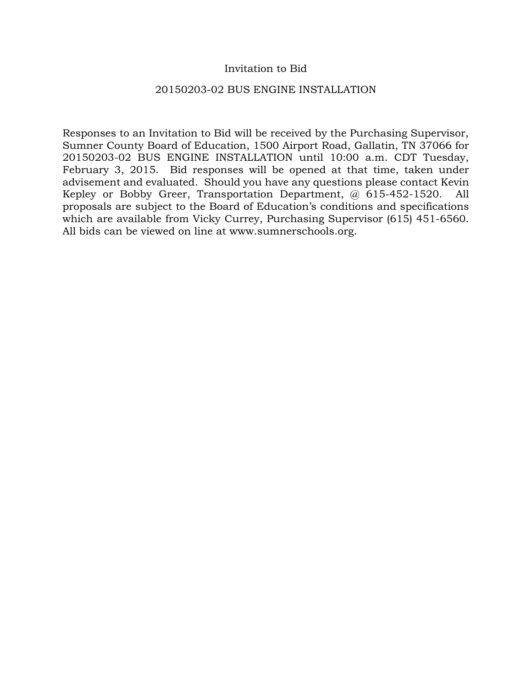## Invitation to Bid

### 20150203-02 BUS ENGINE INSTALLATION

Responses to an Invitation to Bid will be received by the Purchasing Supervisor, Sumner County Board of Education, 1500 Airport Road, Gallatin, TN 37066 for 20150203-02 BUS ENGINE INSTALLATION until 10:00 a.m. CDT Tuesday, February 3, 2015. Bid responses will be opened at that time, taken under advisement and evaluated. Should you have any questions please contact Kevin Kepley or Bobby Greer, Transportation Department, @ 615-452-1520. All proposals are subject to the Board of Education's conditions and specifications which are available from Vicky Currey, Purchasing Supervisor (615) 451-6560. All bids can be viewed on line at www.sumnerschools.org.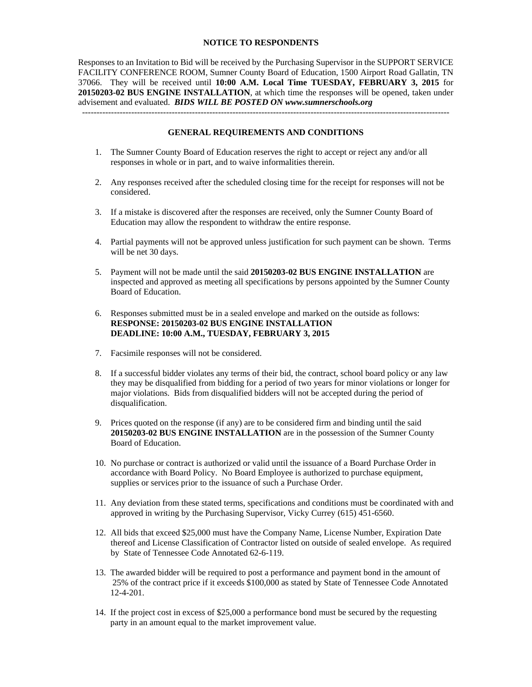### **NOTICE TO RESPONDENTS**

Responses to an Invitation to Bid will be received by the Purchasing Supervisor in the SUPPORT SERVICE FACILITY CONFERENCE ROOM, Sumner County Board of Education, 1500 Airport Road Gallatin, TN 37066. They will be received until **10:00 A.M. Local Time TUESDAY, FEBRUARY 3, 2015** for **20150203-02 BUS ENGINE INSTALLATION**, at which time the responses will be opened, taken under advisement and evaluated. *BIDS WILL BE POSTED ON www.sumnerschools.org* 

#### **GENERAL REQUIREMENTS AND CONDITIONS**

-------------------------------------------------------------------------------------------------------------------------------

- 1. The Sumner County Board of Education reserves the right to accept or reject any and/or all responses in whole or in part, and to waive informalities therein.
- 2. Any responses received after the scheduled closing time for the receipt for responses will not be considered.
- 3. If a mistake is discovered after the responses are received, only the Sumner County Board of Education may allow the respondent to withdraw the entire response.
- 4. Partial payments will not be approved unless justification for such payment can be shown. Terms will be net 30 days.
- 5. Payment will not be made until the said **20150203-02 BUS ENGINE INSTALLATION** are inspected and approved as meeting all specifications by persons appointed by the Sumner County Board of Education.
- 6. Responses submitted must be in a sealed envelope and marked on the outside as follows: **RESPONSE: 20150203-02 BUS ENGINE INSTALLATION DEADLINE: 10:00 A.M., TUESDAY, FEBRUARY 3, 2015**
- 7. Facsimile responses will not be considered.
- 8. If a successful bidder violates any terms of their bid, the contract, school board policy or any law they may be disqualified from bidding for a period of two years for minor violations or longer for major violations. Bids from disqualified bidders will not be accepted during the period of disqualification.
- 9. Prices quoted on the response (if any) are to be considered firm and binding until the said **20150203-02 BUS ENGINE INSTALLATION** are in the possession of the Sumner County Board of Education.
- 10. No purchase or contract is authorized or valid until the issuance of a Board Purchase Order in accordance with Board Policy. No Board Employee is authorized to purchase equipment, supplies or services prior to the issuance of such a Purchase Order.
- 11. Any deviation from these stated terms, specifications and conditions must be coordinated with and approved in writing by the Purchasing Supervisor, Vicky Currey (615) 451-6560.
- 12. All bids that exceed \$25,000 must have the Company Name, License Number, Expiration Date thereof and License Classification of Contractor listed on outside of sealed envelope. As required by State of Tennessee Code Annotated 62-6-119.
- 13. The awarded bidder will be required to post a performance and payment bond in the amount of 25% of the contract price if it exceeds \$100,000 as stated by State of Tennessee Code Annotated 12-4-201.
- 14. If the project cost in excess of \$25,000 a performance bond must be secured by the requesting party in an amount equal to the market improvement value.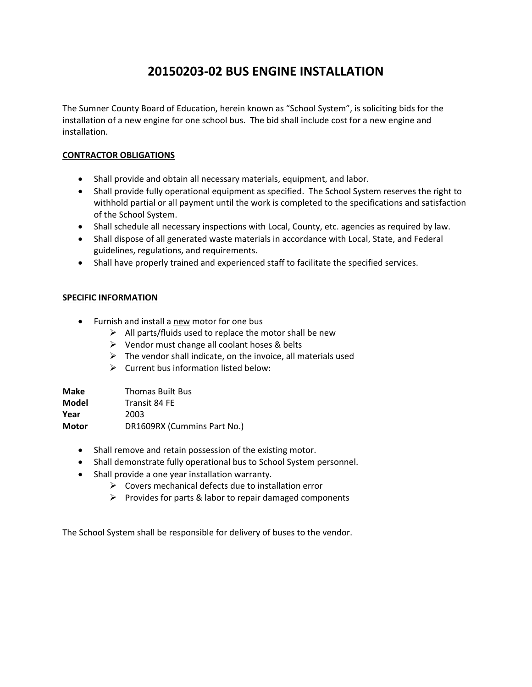# **20150203‐02 BUS ENGINE INSTALLATION**

The Sumner County Board of Education, herein known as "School System", is soliciting bids for the installation of a new engine for one school bus. The bid shall include cost for a new engine and installation.

### **CONTRACTOR OBLIGATIONS**

- Shall provide and obtain all necessary materials, equipment, and labor.
- Shall provide fully operational equipment as specified. The School System reserves the right to withhold partial or all payment until the work is completed to the specifications and satisfaction of the School System.
- Shall schedule all necessary inspections with Local, County, etc. agencies as required by law.
- Shall dispose of all generated waste materials in accordance with Local, State, and Federal guidelines, regulations, and requirements.
- Shall have properly trained and experienced staff to facilitate the specified services.

### **SPECIFIC INFORMATION**

- Furnish and install a new motor for one bus
	- $\triangleright$  All parts/fluids used to replace the motor shall be new
	- $\triangleright$  Vendor must change all coolant hoses & belts
	- $\triangleright$  The vendor shall indicate, on the invoice, all materials used
	- $\triangleright$  Current bus information listed below:

| Make  | <b>Thomas Built Bus</b>     |
|-------|-----------------------------|
| Model | Transit 84 FE               |
| Year  | 2003                        |
| Motor | DR1609RX (Cummins Part No.) |

- Shall remove and retain possession of the existing motor.
- Shall demonstrate fully operational bus to School System personnel.
- Shall provide a one year installation warranty.
	- $\triangleright$  Covers mechanical defects due to installation error
	- $\triangleright$  Provides for parts & labor to repair damaged components

The School System shall be responsible for delivery of buses to the vendor.